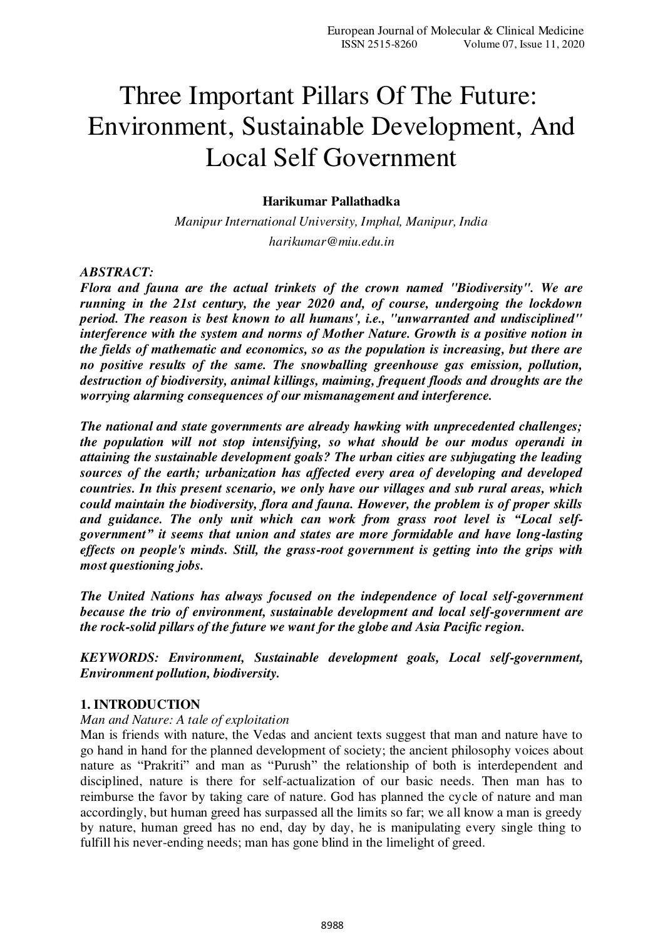# Three Important Pillars Of The Future: Environment, Sustainable Development, And Local Self Government

## **Harikumar Pallathadka**

*Manipur International University, Imphal, Manipur, India harikumar@miu.edu.in* 

#### *ABSTRACT:*

*Flora and fauna are the actual trinkets of the crown named "Biodiversity". We are running in the 21st century, the year 2020 and, of course, undergoing the lockdown period. The reason is best known to all humans', i.e., "unwarranted and undisciplined" interference with the system and norms of Mother Nature. Growth is a positive notion in the fields of mathematic and economics, so as the population is increasing, but there are no positive results of the same. The snowballing greenhouse gas emission, pollution, destruction of biodiversity, animal killings, maiming, frequent floods and droughts are the worrying alarming consequences of our mismanagement and interference.* 

*The national and state governments are already hawking with unprecedented challenges; the population will not stop intensifying, so what should be our modus operandi in attaining the sustainable development goals? The urban cities are subjugating the leading sources of the earth; urbanization has affected every area of developing and developed countries. In this present scenario, we only have our villages and sub rural areas, which could maintain the biodiversity, flora and fauna. However, the problem is of proper skills and guidance. The only unit which can work from grass root level is "Local selfgovernment" it seems that union and states are more formidable and have long-lasting effects on people's minds. Still, the grass-root government is getting into the grips with most questioning jobs.* 

*The United Nations has always focused on the independence of local self-government because the trio of environment, sustainable development and local self-government are the rock-solid pillars of the future we want for the globe and Asia Pacific region.* 

*KEYWORDS: Environment, Sustainable development goals, Local self-government, Environment pollution, biodiversity.* 

#### **1. INTRODUCTION**

#### *Man and Nature: A tale of exploitation*

Man is friends with nature, the Vedas and ancient texts suggest that man and nature have to go hand in hand for the planned development of society; the ancient philosophy voices about nature as "Prakriti" and man as "Purush" the relationship of both is interdependent and disciplined, nature is there for self-actualization of our basic needs. Then man has to reimburse the favor by taking care of nature. God has planned the cycle of nature and man accordingly, but human greed has surpassed all the limits so far; we all know a man is greedy by nature, human greed has no end, day by day, he is manipulating every single thing to fulfill his never-ending needs; man has gone blind in the limelight of greed.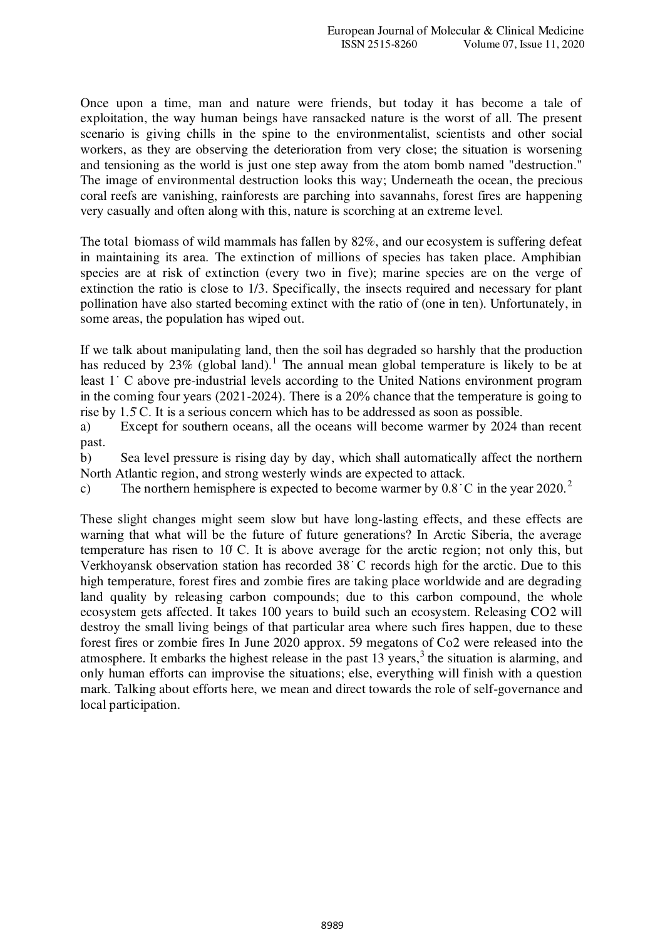Once upon a time, man and nature were friends, but today it has become a tale of exploitation, the way human beings have ransacked nature is the worst of all. The present scenario is giving chills in the spine to the environmentalist, scientists and other social workers, as they are observing the deterioration from very close; the situation is worsening and tensioning as the world is just one step away from the atom bomb named "destruction." The image of environmental destruction looks this way; Underneath the ocean, the precious coral reefs are vanishing, rainforests are parching into savannahs, forest fires are happening very casually and often along with this, nature is scorching at an extreme level.

The total biomass of wild mammals has fallen by 82%, and our ecosystem is suffering defeat in maintaining its area. The extinction of millions of species has taken place. Amphibian species are at risk of extinction (every two in five); marine species are on the verge of extinction the ratio is close to 1/3. Specifically, the insects required and necessary for plant pollination have also started becoming extinct with the ratio of (one in ten). Unfortunately, in some areas, the population has wiped out.

If we talk about manipulating land, then the soil has degraded so harshly that the production has reduced by  $23\%$  (global land).<sup>1</sup> The annual mean global temperature is likely to be at least 1˙ C above pre-industrial levels according to the United Nations environment program in the coming four years (2021-2024). There is a 20% chance that the temperature is going to rise by 1.5̇ C. It is a serious concern which has to be addressed as soon as possible.

a) Except for southern oceans, all the oceans will become warmer by 2024 than recent past.

b) Sea level pressure is rising day by day, which shall automatically affect the northern North Atlantic region, and strong westerly winds are expected to attack.

c) The northern hemisphere is expected to become warmer by  $0.8 \text{ °C}$  in the year  $2020$ .<sup>2</sup>

These slight changes might seem slow but have long-lasting effects, and these effects are warning that what will be the future of future generations? In Arctic Siberia, the average temperature has risen to 10̇ C. It is above average for the arctic region; not only this, but Verkhoyansk observation station has recorded 38 ̇ C records high for the arctic. Due to this high temperature, forest fires and zombie fires are taking place worldwide and are degrading land quality by releasing carbon compounds; due to this carbon compound, the whole ecosystem gets affected. It takes 100 years to build such an ecosystem. Releasing CO2 will destroy the small living beings of that particular area where such fires happen, due to these forest fires or zombie fires In June 2020 approx. 59 megatons of Co2 were released into the atmosphere. It embarks the highest release in the past  $13$  years,<sup>3</sup> the situation is alarming, and only human efforts can improvise the situations; else, everything will finish with a question mark. Talking about efforts here, we mean and direct towards the role of self-governance and local participation.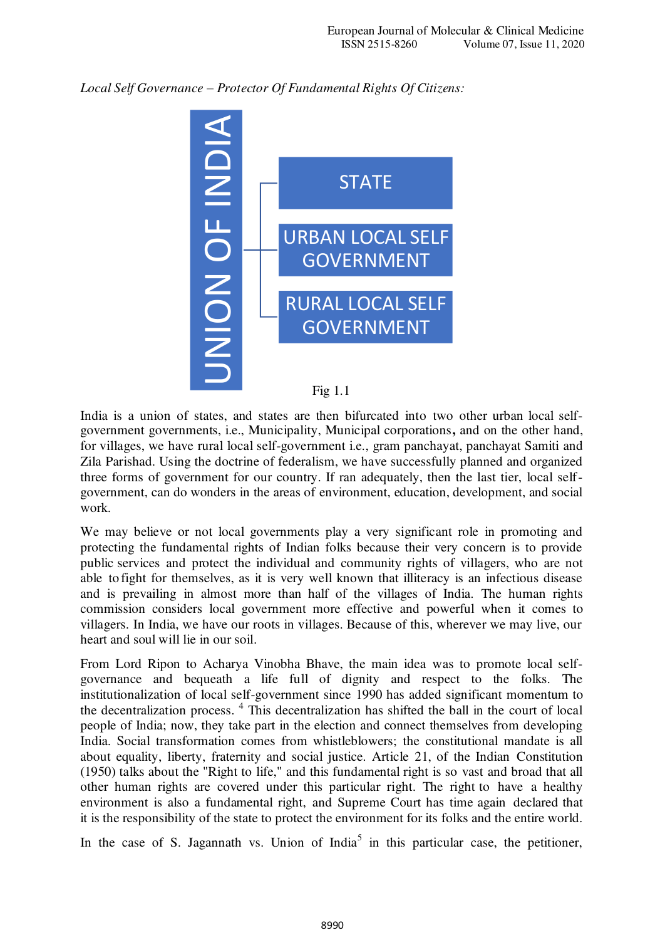*Local Self Governance – Protector Of Fundamental Rights Of Citizens:* 



India is a union of states, and states are then bifurcated into two other urban local selfgovernment governments, i.e., Municipality, Municipal corporations**,** and on the other hand, for villages, we have rural local self-government i.e., gram panchayat, panchayat Samiti and Zila Parishad. Using the doctrine of federalism, we have successfully planned and organized three forms of government for our country. If ran adequately, then the last tier, local selfgovernment, can do wonders in the areas of environment, education, development, and social work.

We may believe or not local governments play a very significant role in promoting and protecting the fundamental rights of Indian folks because their very concern is to provide public services and protect the individual and community rights of villagers, who are not able to fight for themselves, as it is very well known that illiteracy is an infectious disease and is prevailing in almost more than half of the villages of India. The human rights commission considers local government more effective and powerful when it comes to villagers. In India, we have our roots in villages. Because of this, wherever we may live, our heart and soul will lie in our soil.

From Lord Ripon to Acharya Vinobha Bhave, the main idea was to promote local selfgovernance and bequeath a life full of dignity and respect to the folks. The institutionalization of local self-government since 1990 has added significant momentum to the decentralization process. <sup>4</sup> This decentralization has shifted the ball in the court of local people of India; now, they take part in the election and connect themselves from developing India. Social transformation comes from whistleblowers; the constitutional mandate is all about equality, liberty, fraternity and social justice. Article 21, of the Indian Constitution (1950) talks about the "Right to life," and this fundamental right is so vast and broad that all other human rights are covered under this particular right. The right to have a healthy environment is also a fundamental right, and Supreme Court has time again declared that it is the responsibility of the state to protect the environment for its folks and the entire world.

In the case of S. Jagannath vs. Union of India<sup>5</sup> in this particular case, the petitioner,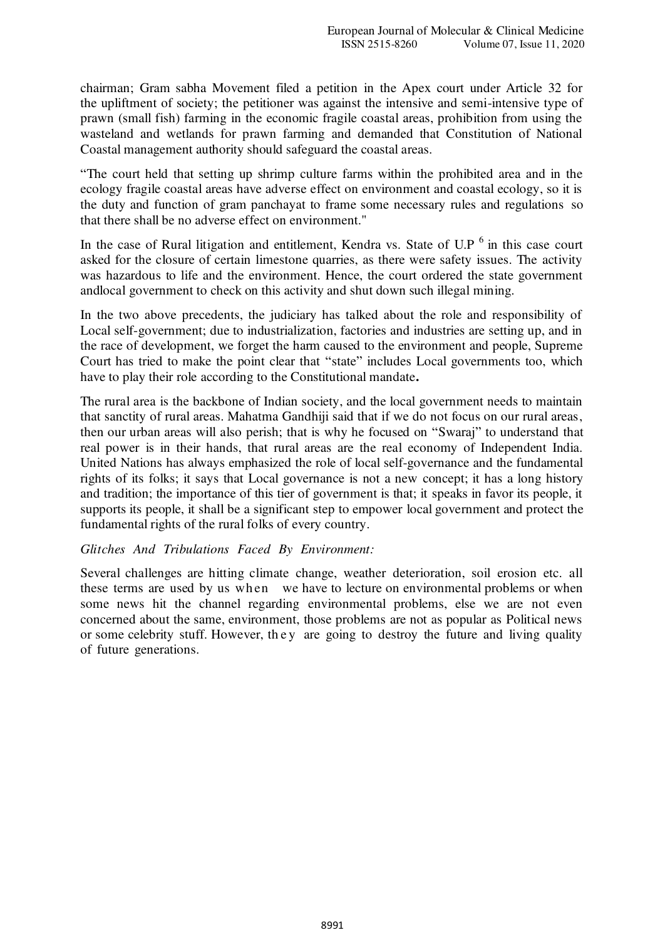chairman; Gram sabha Movement filed a petition in the Apex court under Article 32 for the upliftment of society; the petitioner was against the intensive and semi-intensive type of prawn (small fish) farming in the economic fragile coastal areas, prohibition from using the wasteland and wetlands for prawn farming and demanded that Constitution of National Coastal management authority should safeguard the coastal areas.

"The court held that setting up shrimp culture farms within the prohibited area and in the ecology fragile coastal areas have adverse effect on environment and coastal ecology, so it is the duty and function of gram panchayat to frame some necessary rules and regulations so that there shall be no adverse effect on environment."

In the case of Rural litigation and entitlement, Kendra vs. State of U.P  $<sup>6</sup>$  in this case court</sup> asked for the closure of certain limestone quarries, as there were safety issues. The activity was hazardous to life and the environment. Hence, the court ordered the state government and local government to check on this activity and shut down such illegal mining.

In the two above precedents, the judiciary has talked about the role and responsibility of Local self-government; due to industrialization, factories and industries are setting up, and in the race of development, we forget the harm caused to the environment and people, Supreme Court has tried to make the point clear that "state" includes Local governments too, which have to play their role according to the Constitutional mandate**.** 

The rural area is the backbone of Indian society, and the local government needs to maintain that sanctity of rural areas. Mahatma Gandhiji said that if we do not focus on our rural areas, then our urban areas will also perish; that is why he focused on "Swaraj" to understand that real power is in their hands, that rural areas are the real economy of Independent India. United Nations has always emphasized the role of local self-governance and the fundamental rights of its folks; it says that Local governance is not a new concept; it has a long history and tradition; the importance of this tier of government is that; it speaks in favor its people, it supports its people, it shall be a significant step to empower local government and protect the fundamental rights of the rural folks of every country.

#### *Glitches And Tribulations Faced By Environment:*

Several challenges are hitting climate change, weather deterioration, soil erosion etc. all these terms are used by us when we have to lecture on environmental problems or when some news hit the channel regarding environmental problems, else we are not even concerned about the same, environment, those problems are not as popular as Political news or some celebrity stuff. However, the y are going to destroy the future and living quality of future generations.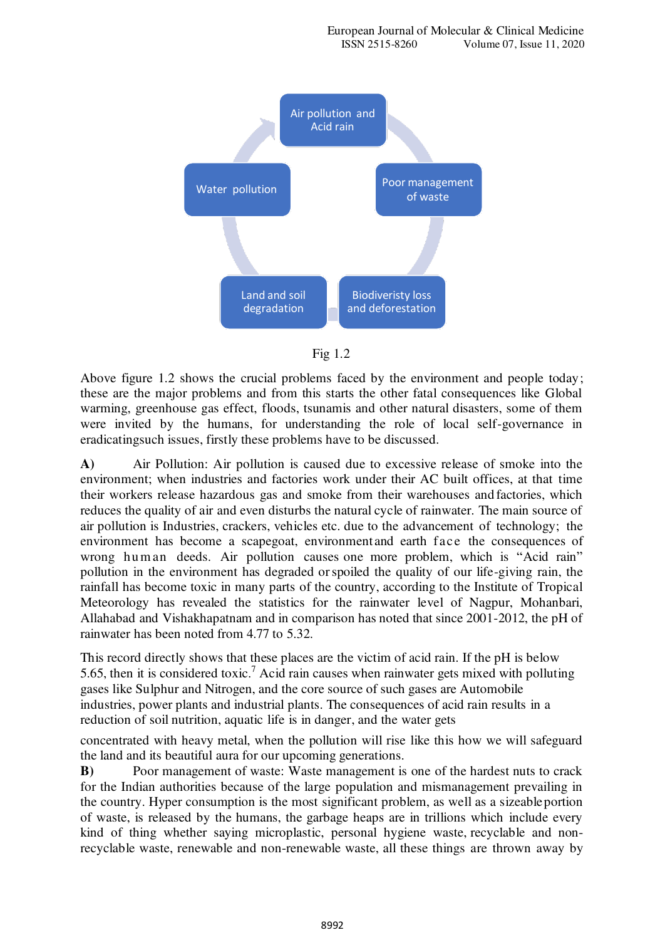



Above figure 1.2 shows the crucial problems faced by the environment and people today; these are the major problems and from this starts the other fatal consequences like Global warming, greenhouse gas effect, floods, tsunamis and other natural disasters, some of them were invited by the humans, for understanding the role of local self-governance in eradicating such issues, firstly these problems have to be discussed.

**A)** Air Pollution: Air pollution is caused due to excessive release of smoke into the environment; when industries and factories work under their AC built offices, at that time their workers release hazardous gas and smoke from their warehouses and factories, which reduces the quality of air and even disturbs the natural cycle of rainwater. The main source of air pollution is Industries, crackers, vehicles etc. due to the advancement of technology; the environment has become a scapegoat, environment and earth face the consequences of wrong human deeds. Air pollution causes one more problem, which is "Acid rain" pollution in the environment has degraded or spoiled the quality of our life-giving rain, the rainfall has become toxic in many parts of the country, according to the Institute of Tropical Meteorology has revealed the statistics for the rainwater level of Nagpur, Mohanbari, Allahabad and Vishakhapatnam and in comparison has noted that since 2001-2012, the pH of rainwater has been noted from 4.77 to 5.32.

This record directly shows that these places are the victim of acid rain. If the pH is below 5.65, then it is considered toxic.<sup>7</sup> Acid rain causes when rainwater gets mixed with polluting gases like Sulphur and Nitrogen, and the core source of such gases are Automobile industries, power plants and industrial plants. The consequences of acid rain results in a reduction of soil nutrition, aquatic life is in danger, and the water gets

concentrated with heavy metal, when the pollution will rise like this how we will safeguard the land and its beautiful aura for our upcoming generations.

**B)** Poor management of waste: Waste management is one of the hardest nuts to crack for the Indian authorities because of the large population and mismanagement prevailing in the country. Hyper consumption is the most significant problem, as well as a sizeable portion of waste, is released by the humans, the garbage heaps are in trillions which include every kind of thing whether saying microplastic, personal hygiene waste, recyclable and nonrecyclable waste, renewable and non-renewable waste, all these things are thrown away by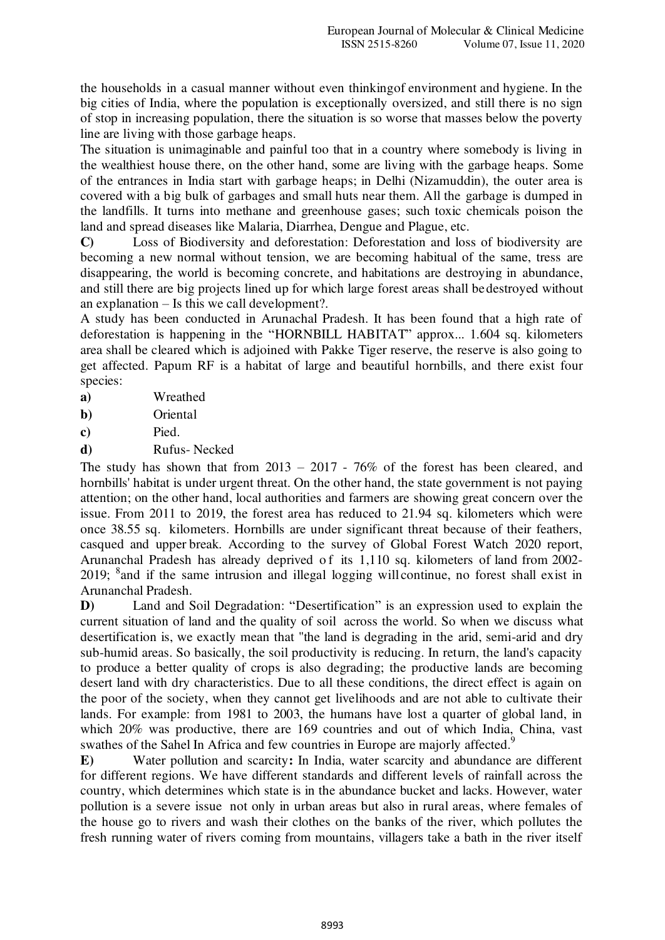the households in a casual manner without even thinking of environment and hygiene. In the big cities of India, where the population is exceptionally oversized, and still there is no sign of stop in increasing population, there the situation is so worse that masses below the poverty line are living with those garbage heaps.

The situation is unimaginable and painful too that in a country where somebody is living in the wealthiest house there, on the other hand, some are living with the garbage heaps. Some of the entrances in India start with garbage heaps; in Delhi (Nizamuddin), the outer area is covered with a big bulk of garbages and small huts near them. All the garbage is dumped in the landfills. It turns into methane and greenhouse gases; such toxic chemicals poison the land and spread diseases like Malaria, Diarrhea, Dengue and Plague, etc.

**C)** Loss of Biodiversity and deforestation: Deforestation and loss of biodiversity are becoming a new normal without tension, we are becoming habitual of the same, tress are disappearing, the world is becoming concrete, and habitations are destroying in abundance, and still there are big projects lined up for which large forest areas shall be destroyed without an explanation – Is this we call development?.

A study has been conducted in Arunachal Pradesh. It has been found that a high rate of deforestation is happening in the "HORNBILL HABITAT" approx... 1.604 sq. kilometers area shall be cleared which is adjoined with Pakke Tiger reserve, the reserve is also going to get affected. Papum RF is a habitat of large and beautiful hornbills, and there exist four species:

| Wreathed |
|----------|
|          |

**b)** Oriental

**c)** Pied.

**d)** Rufus- Necked

The study has shown that from 2013 – 2017 - 76% of the forest has been cleared, and hornbills' habitat is under urgent threat. On the other hand, the state government is not paying attention; on the other hand, local authorities and farmers are showing great concern over the issue. From 2011 to 2019, the forest area has reduced to 21.94 sq. kilometers which were once 38.55 sq. kilometers. Hornbills are under significant threat because of their feathers, casqued and upper break. According to the survey of Global Forest Watch 2020 report, Arunanchal Pradesh has already deprived of its 1,110 sq. kilometers of land from 2002-2019; <sup>8</sup> and if the same intrusion and illegal logging will continue, no forest shall exist in Arunanchal Pradesh.

**D)** Land and Soil Degradation: "Desertification" is an expression used to explain the current situation of land and the quality of soil across the world. So when we discuss what desertification is, we exactly mean that "the land is degrading in the arid, semi-arid and dry sub-humid areas. So basically, the soil productivity is reducing. In return, the land's capacity to produce a better quality of crops is also degrading; the productive lands are becoming desert land with dry characteristics. Due to all these conditions, the direct effect is again on the poor of the society, when they cannot get livelihoods and are not able to cultivate their lands. For example: from 1981 to 2003, the humans have lost a quarter of global land, in which 20% was productive, there are 169 countries and out of which India, China, vast swathes of the Sahel In Africa and few countries in Europe are majorly affected.<sup>9</sup>

**E)** Water pollution and scarcity**:** In India, water scarcity and abundance are different for different regions. We have different standards and different levels of rainfall across the country, which determines which state is in the abundance bucket and lacks. However, water pollution is a severe issue not only in urban areas but also in rural areas, where females of the house go to rivers and wash their clothes on the banks of the river, which pollutes the fresh running water of rivers coming from mountains, villagers take a bath in the river itself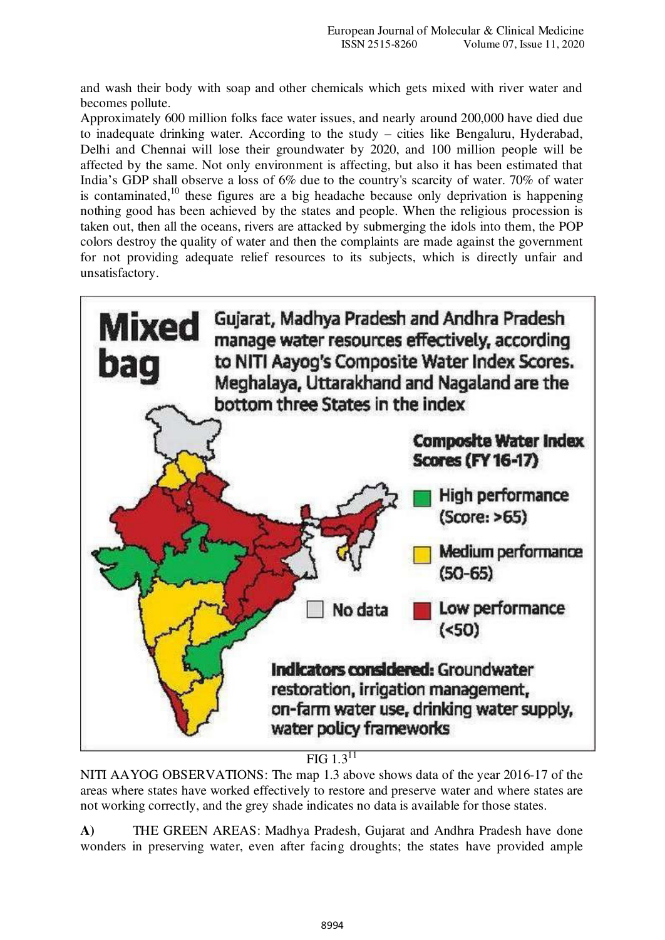and wash their body with soap and other chemicals which gets mixed with river water and becomes pollute.

Approximately 600 million folks face water issues, and nearly around 2 00,000 have died due to inadequate drinking water. According to the study – cities like Bengaluru, Hyderabad, Delhi and Chennai will lose their groundwater by 2020, and 100 million people will be affected by the same. Not only environment is affecting, but also it has been estimated that India's GDP shall observe a loss of 6% due to the country's scarcity of water. 70% of water is contaminated, $10$  these figures are a big headache because only deprivation is happening nothing good has been achieved by the states and people. When the religious procession is taken out, then all the oceans, rivers are attacked by submerging the idols into them, the POP colors destroy the quality of water and then the complaints are made against the government for not providing adequate relief resources to its subjects, which is directly unfair and unsatisfactory.



 $\overline{FIG} 1.3^{11}$ 

NITI AAYOG OBSERVATIONS: The map 1.3 above shows data of the year 2016-17 of the areas where states have worked effectively to restore and preserve water and where states are not working correctly, and the grey shade indicates no data is available for those states.

**A)** THE GREEN AREAS: Madhya Pradesh, Gujarat and Andhra Pradesh have done wonders in preserving water, even after facing droughts; the states have provided ample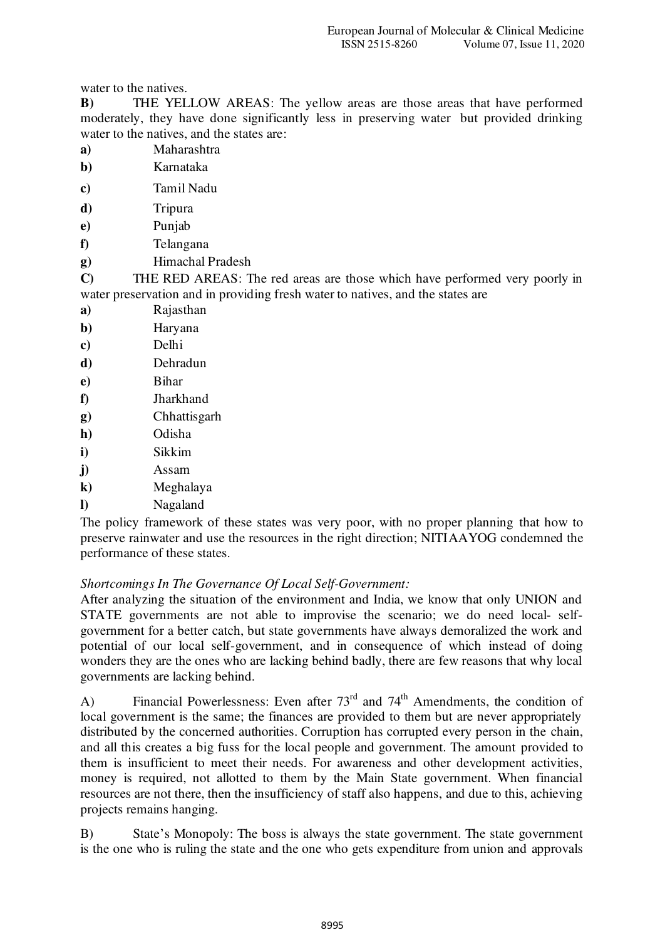water to the natives.

**B)** THE YELLOW AREAS: The yellow areas are those areas that have performed moderately, they have done significantly less in preserving water but provided drinking water to the natives, and the states are:

- **a)** Maharashtra
- **b)** Karnataka
- **c)** Tamil Nadu
- **d)** Tripura
- **e)** Punjab
- **f)** Telangana
- **g)** Himachal Pradesh

**C)** THE RED AREAS: The red areas are those which have performed very poorly in water preservation and in providing fresh water to natives, and the states are

- **a)** Rajasthan
- **b)** Haryana
- **c)** Delhi
- **d)** Dehradun
- **e)** Bihar
- **f)** Jharkhand
- **g)** Chhattisgarh
- **h)** Odisha
- **i)** Sikkim
- **j)** Assam
- **k)** Meghalaya
- **l)** Nagaland

The policy framework of these states was very poor, with no proper planning that how to preserve rainwater and use the resources in the right direction; NITI AAYOG condemned the performance of these states.

# *Shortcomings In The Governance Of Local Self-Government:*

After analyzing the situation of the environment and India, we know that only UNION and STATE governments are not able to improvise the scenario; we do need local- selfgovernment for a better catch, but state governments have always demoralized the work and potential of our local self-government, and in consequence of which instead of doing wonders they are the ones who are lacking behind badly, there are few reasons that why local governments are lacking behind.

A) Financial Powerlessness: Even after  $73<sup>rd</sup>$  and  $74<sup>th</sup>$  Amendments, the condition of local government is the same; the finances are provided to them but are never appropriately distributed by the concerned authorities. Corruption has corrupted every person in the chain, and all this creates a big fuss for the local people and government. The amount provided to them is insufficient to meet their needs. For awareness and other development activities, money is required, not allotted to them by the Main State government. When financial resources are not there, then the insufficiency of staff also happens, and due to this, achieving projects remains hanging.

B) State's Monopoly: The boss is always the state government. The state government is the one who is ruling the state and the one who gets expenditure from union and approvals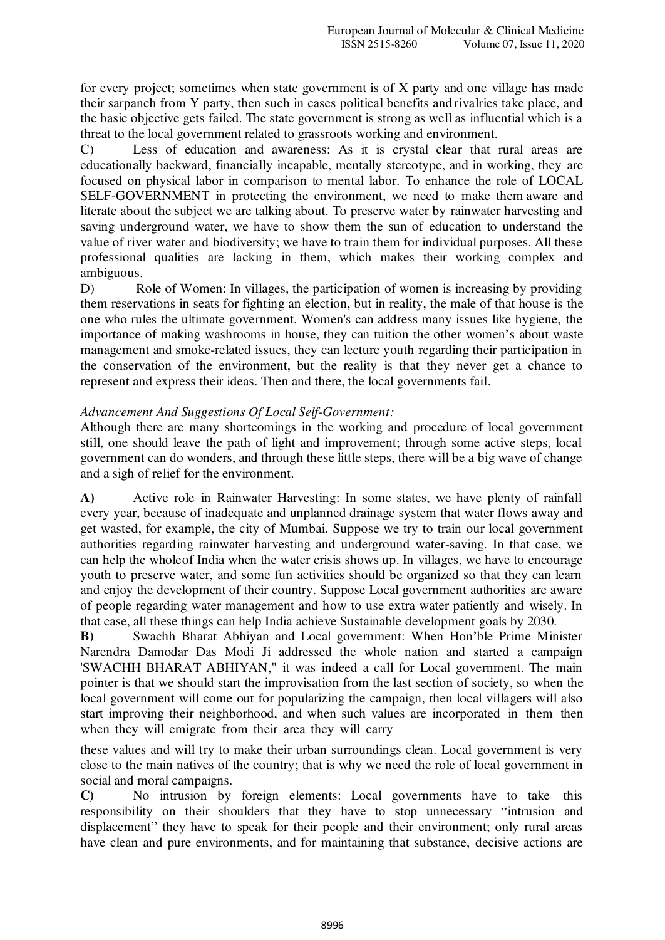for every project; sometimes when state government is of X party and one village has made their sarpanch from Y party, then such in cases political benefits and rivalries take place, and the basic objective gets failed. The state government is strong as well as influential which is a threat to the local government related to grassroots working and environment.

C) Less of education and awareness: As it is crystal clear that rural areas are educationally backward, financially incapable, mentally stereotype, and in working, they are focused on physical labor in comparison to mental labor. To enhance the role of LOCAL SELF-GOVERNMENT in protecting the environment, we need to make them aware and literate about the subject we are talking about. To preserve water by rainwater harvesting and saving underground water, we have to show them the sun of education to understand the value of river water and biodiversity; we have to train them for individual purposes. All these professional qualities are lacking in them, which makes their working complex and ambiguous.

D) Role of Women: In villages, the participation of women is increasing by providing them reservations in seats for fighting an election, but in reality, the male of that house is the one who rules the ultimate government. Women's can address many issues like hygiene, the importance of making washrooms in house, they can tuition the other women's about waste management and smoke-related issues, they can lecture youth regarding their participation in the conservation of the environment, but the reality is that they never get a chance to represent and express their ideas. Then and there, the local governments fail.

## *Advancement And Suggestions Of Local Self-Government:*

Although there are many shortcomings in the working and procedure of local government still, one should leave the path of light and improvement; through some active steps, local government can do wonders, and through these little steps, there will be a big wave of change and a sigh of relief for the environment.

**A)** Active role in Rainwater Harvesting: In some states, we have plenty of rainfall every year, because of inadequate and unplanned drainage system that water flows away and get wasted, for example, the city of Mumbai. Suppose we try to train our local government authorities regarding rainwater harvesting and underground water-saving. In that case, we can help the whole of India when the water crisis shows up. In villages, we have to encourage youth to preserve water, and some fun activities should be organized so that they can learn and enjoy the development of their country. Suppose Local government authorities are aware of people regarding water management and how to use extra water patiently and wisely. In that case, all these things can help India achieve Sustainable development goals by 2030.

**B)** Swachh Bharat Abhiyan and Local government: When Hon'ble Prime Minister Narendra Damodar Das Modi Ji addressed the whole nation and started a campaign 'SWACHH BHARAT ABHIYAN," it was indeed a call for Local government. The main pointer is that we should start the improvisation from the last section of society, so when the local government will come out for popularizing the campaign, then local villagers will also start improving their neighborhood, and when such values are incorporated in them then when they will emigrate from their area they will carry

these values and will try to make their urban surroundings clean. Local government is very close to the main natives of the country; that is why we need the role of local government in social and moral campaigns.

**C)** No intrusion by foreign elements: Local governments have to take this responsibility on their shoulders that they have to stop unnecessary "intrusion and displacement" they have to speak for their people and their environment; only rural areas have clean and pure environments, and for maintaining that substance, decisive actions are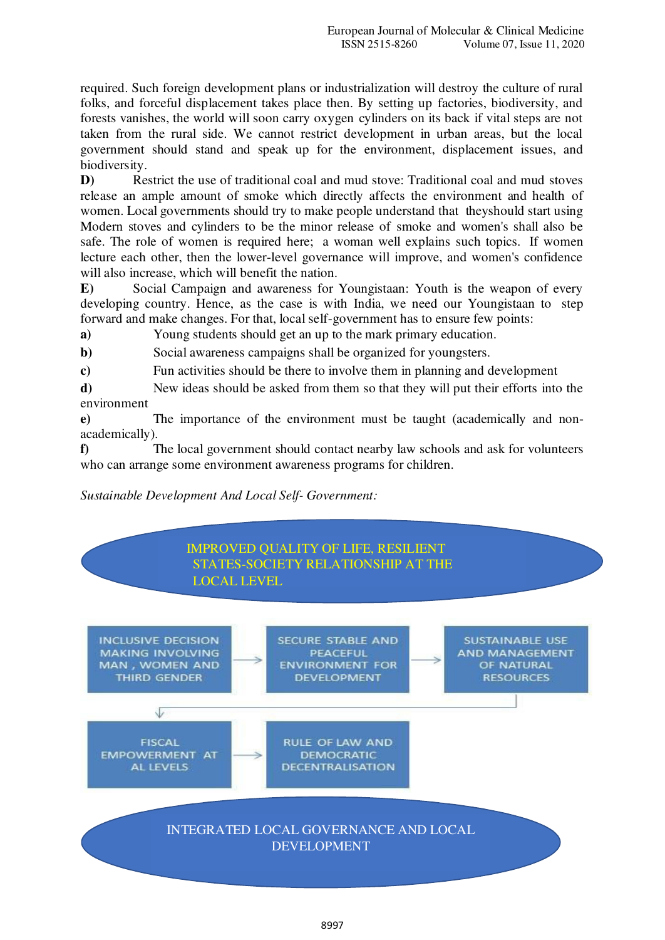required. Such foreign development plans or industrialization will destroy the culture of rural folks, and forceful displacement takes place then. By setting up factories, biodiversity, and forests vanishes, the world will soon carry oxygen cylinders on its back if vital steps are not taken from the rural side. We cannot restrict development in urban areas, but the local government should stand and speak up for the environment, displacement issues, and biodiversity.

**D)** Restrict the use of traditional coal and mud stove: Traditional coal and mud stoves release an ample amount of smoke which directly affects the environment and health of women. Local governments should try to make people understand that they should start using Modern stoves and cylinders to be the minor release of smoke and women's shall also be safe. The role of women is required here; a woman well explains such topics. If women lecture each other, then the lower-level governance will improve, and women's confidence will also increase, which will benefit the nation.

**E)** Social Campaign and awareness for Youngistaan: Youth is the weapon of every developing country. Hence, as the case is with India, we need our Youngistaan to step forward and make changes. For that, local self-government has to ensure few points:

**a)** Young students should get an up to the mark primary education.

**b**) Social awareness campaigns shall be organized for youngsters.

**c)** Fun activities should be there to involve them in planning and development

**d)** New ideas should be asked from them so that they will put their efforts into the environment

**e)** The importance of the environment must be taught (academically and nonacademically).

**f)** The local government should contact nearby law schools and ask for volunteers who can arrange some environment awareness programs for children.

# *Sustainable Development And Local Self- Government:*